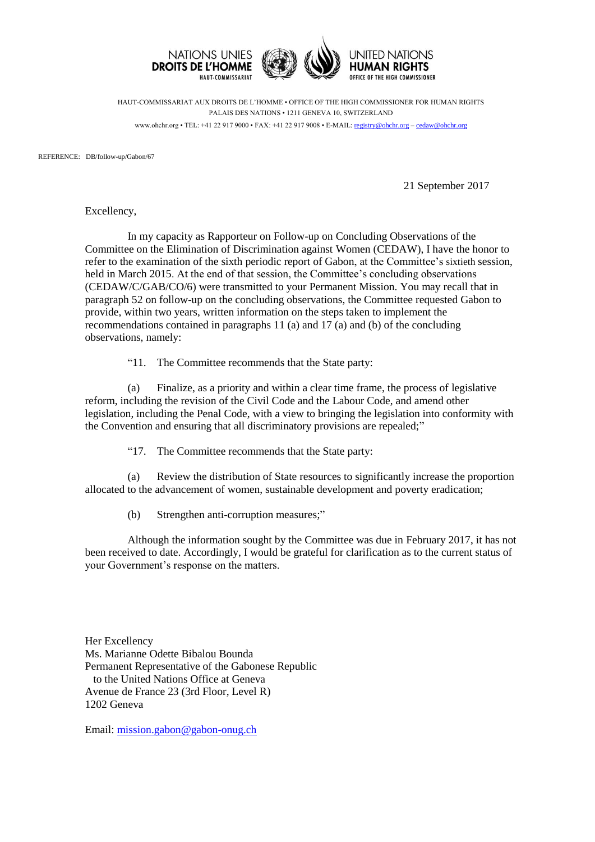

HAUT-COMMISSARIAT AUX DROITS DE L'HOMME • OFFICE OF THE HIGH COMMISSIONER FOR HUMAN RIGHTS PALAIS DES NATIONS • 1211 GENEVA 10, SWITZERLAND www.ohchr.org • TEL: +41 22 917 9000 • FAX: +41 22 917 9008 • E-MAIL: [registry@ohchr.org](mailto:registry@ohchr.org) – [cedaw@ohchr.org](mailto:cedaw@ohchr.org)

REFERENCE: DB/follow-up/Gabon/67

21 September 2017

Excellency,

In my capacity as Rapporteur on Follow-up on Concluding Observations of the Committee on the Elimination of Discrimination against Women (CEDAW), I have the honor to refer to the examination of the sixth periodic report of Gabon, at the Committee's sixtieth session, held in March 2015. At the end of that session, the Committee's concluding observations (CEDAW/C/GAB/CO/6) were transmitted to your Permanent Mission. You may recall that in paragraph 52 on follow-up on the concluding observations, the Committee requested Gabon to provide, within two years, written information on the steps taken to implement the recommendations contained in paragraphs 11 (a) and 17 (a) and (b) of the concluding observations, namely:

"11. The Committee recommends that the State party:

(a) Finalize, as a priority and within a clear time frame, the process of legislative reform, including the revision of the Civil Code and the Labour Code, and amend other legislation, including the Penal Code, with a view to bringing the legislation into conformity with the Convention and ensuring that all discriminatory provisions are repealed;"

"17. The Committee recommends that the State party:

(a) Review the distribution of State resources to significantly increase the proportion allocated to the advancement of women, sustainable development and poverty eradication;

(b) Strengthen anti-corruption measures;"

Although the information sought by the Committee was due in February 2017, it has not been received to date. Accordingly, I would be grateful for clarification as to the current status of your Government's response on the matters.

Her Excellency Ms. Marianne Odette Bibalou Bounda Permanent Representative of the Gabonese Republic to the United Nations Office at Geneva Avenue de France 23 (3rd Floor, Level R) 1202 Geneva

Email: [mission.gabon@gabon-onug.ch](mailto:mission.gabon@gabon-onug.ch)